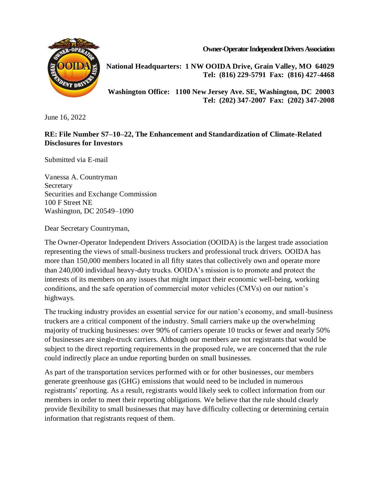**Owner-Operator Independent Drivers Association**



**National Headquarters: 1 NW OOIDA Drive, Grain Valley, MO 64029 Tel: (816) 229-5791 Fax: (816) 427-4468**

**Washington Office: 1100 New Jersey Ave. SE, Washington, DC 20003 Tel: (202) 347-2007 Fax: (202) 347-2008**

June 16, 2022

## **RE: File Number S7–10–22, The Enhancement and Standardization of Climate-Related Disclosures for Investors**

Submitted via E-mail

Vanessa A. Countryman Secretary Securities and Exchange Commission 100 F Street NE Washington, DC 20549–1090

Dear Secretary Countryman,

The Owner-Operator Independent Drivers Association (OOIDA) is the largest trade association representing the views of small-business truckers and professional truck drivers. OOIDA has more than 150,000 members located in all fifty states that collectively own and operate more than 240,000 individual heavy-duty trucks. OOIDA's mission is to promote and protect the interests of its members on any issues that might impact their economic well-being, working conditions, and the safe operation of commercial motor vehicles (CMVs) on our nation's highways.

The trucking industry provides an essential service for our nation's economy, and small-business truckers are a critical component of the industry. Small carriers make up the overwhelming majority of trucking businesses: over 90% of carriers operate 10 trucks or fewer and nearly 50% of businesses are single-truck carriers. Although our members are not registrants that would be subject to the direct reporting requirements in the proposed rule, we are concerned that the rule could indirectly place an undue reporting burden on small businesses.

As part of the transportation services performed with or for other businesses, our members generate greenhouse gas (GHG) emissions that would need to be included in numerous registrants' reporting. As a result, registrants would likely seek to collect information from our members in order to meet their reporting obligations. We believe that the rule should clearly provide flexibility to small businesses that may have difficulty collecting or determining certain information that registrants request of them.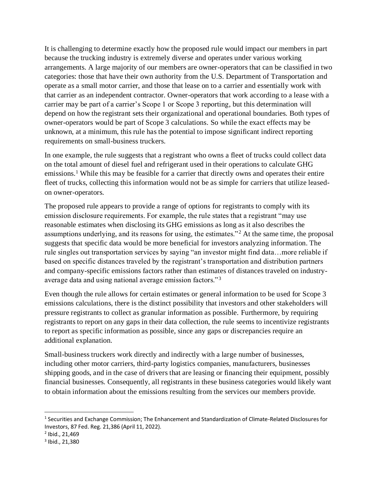It is challenging to determine exactly how the proposed rule would impact our members in part because the trucking industry is extremely diverse and operates under various working arrangements. A large majority of our members are owner-operators that can be classified in two categories: those that have their own authority from the U.S. Department of Transportation and operate as a small motor carrier, and those that lease on to a carrier and essentially work with that carrier as an independent contractor. Owner-operators that work according to a lease with a carrier may be part of a carrier's Scope 1 or Scope 3 reporting, but this determination will depend on how the registrant sets their organizational and operational boundaries. Both types of owner-operators would be part of Scope 3 calculations. So while the exact effects may be unknown, at a minimum, this rule has the potential to impose significant indirect reporting requirements on small-business truckers.

In one example, the rule suggests that a registrant who owns a fleet of trucks could collect data on the total amount of diesel fuel and refrigerant used in their operations to calculate GHG emissions.<sup>1</sup> While this may be feasible for a carrier that directly owns and operates their entire fleet of trucks, collecting this information would not be as simple for carriers that utilize leasedon owner-operators.

The proposed rule appears to provide a range of options for registrants to comply with its emission disclosure requirements. For example, the rule states that a registrant "may use reasonable estimates when disclosing its GHG emissions as long as it also describes the assumptions underlying, and its reasons for using, the estimates."<sup>2</sup> At the same time, the proposal suggests that specific data would be more beneficial for investors analyzing information. The rule singles out transportation services by saying "an investor might find data…more reliable if based on specific distances traveled by the registrant's transportation and distribution partners and company-specific emissions factors rather than estimates of distances traveled on industryaverage data and using national average emission factors."<sup>3</sup>

Even though the rule allows for certain estimates or general information to be used for Scope 3 emissions calculations, there is the distinct possibility that investors and other stakeholders will pressure registrants to collect as granular information as possible. Furthermore, by requiring registrants to report on any gaps in their data collection, the rule seems to incentivize registrants to report as specific information as possible, since any gaps or discrepancies require an additional explanation.

Small-business truckers work directly and indirectly with a large number of businesses, including other motor carriers, third-party logistics companies, manufacturers, businesses shipping goods, and in the case of drivers that are leasing or financing their equipment, possibly financial businesses. Consequently, all registrants in these business categories would likely want to obtain information about the emissions resulting from the services our members provide.

 $\overline{a}$ 

<sup>&</sup>lt;sup>1</sup> Securities and Exchange Commission; The Enhancement and Standardization of Climate-Related Disclosures for Investors, 87 Fed. Reg. 21,386 (April 11, 2022).

<sup>2</sup> Ibid., 21,469

<sup>3</sup> Ibid., 21,380